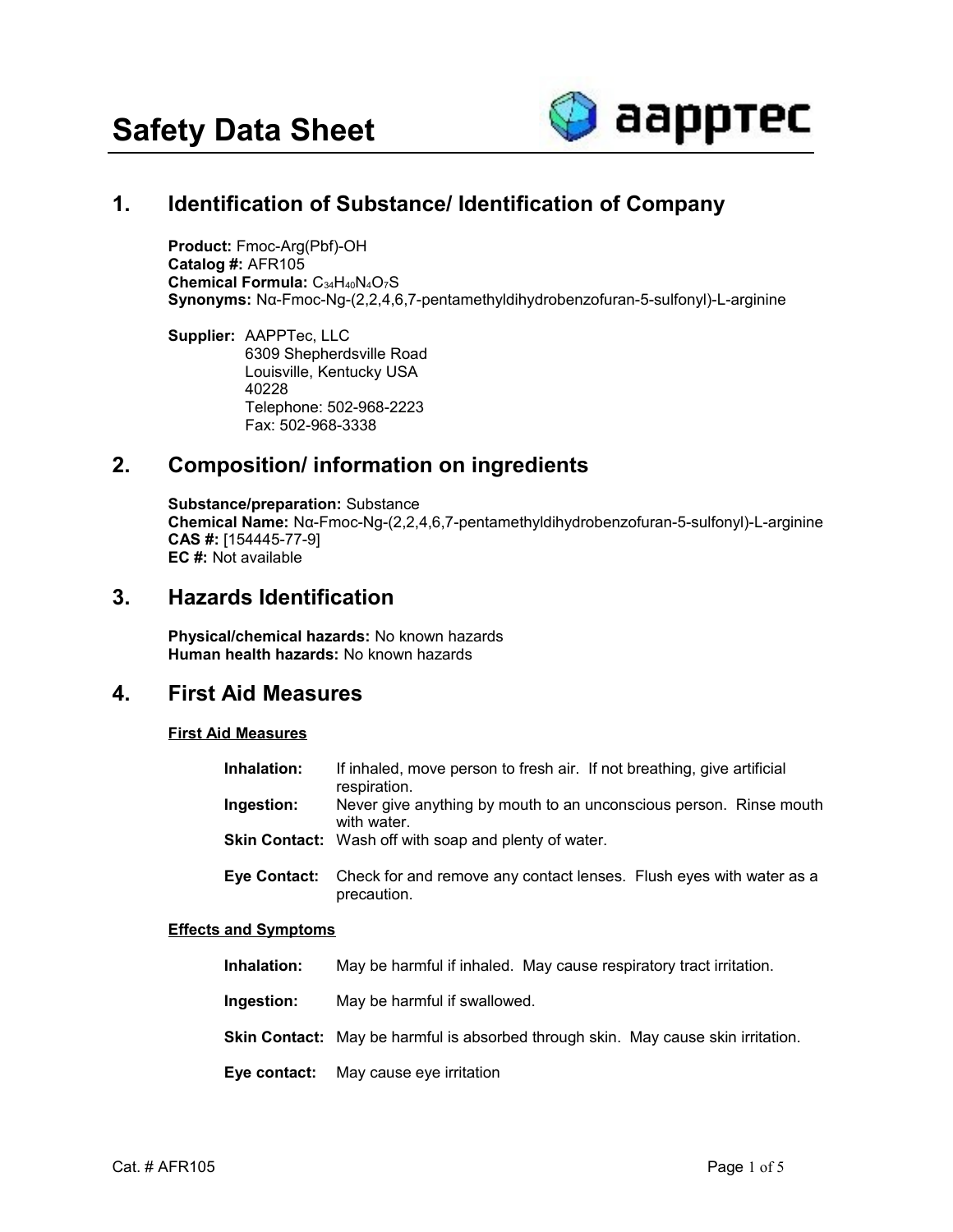

# **1. Identification of Substance/ Identification of Company**

**Product:** Fmoc-Arg(Pbf)-OH **Catalog #:** AFR105 **Chemical Formula:** C34H40N4O7S **Synonyms:** Nα-Fmoc-Ng-(2,2,4,6,7-pentamethyldihydrobenzofuran-5-sulfonyl)-L-arginine

**Supplier:** AAPPTec, LLC 6309 Shepherdsville Road Louisville, Kentucky USA 40228 Telephone: 502-968-2223 Fax: 502-968-3338

## **2. Composition/ information on ingredients**

**Substance/preparation:** Substance **Chemical Name:** Nα-Fmoc-Ng-(2,2,4,6,7-pentamethyldihydrobenzofuran-5-sulfonyl)-L-arginine **CAS #:** [154445-77-9] **EC #:** Not available

## **3. Hazards Identification**

**Physical/chemical hazards:** No known hazards **Human health hazards:** No known hazards

### **4. First Aid Measures**

### **First Aid Measures**

| Inhalation: | If inhaled, move person to fresh air. If not breathing, give artificial<br>respiration.         |
|-------------|-------------------------------------------------------------------------------------------------|
| Ingestion:  | Never give anything by mouth to an unconscious person. Rinse mouth<br>with water.               |
|             | <b>Skin Contact:</b> Wash off with soap and plenty of water.                                    |
|             | Eye Contact: Check for and remove any contact lenses. Flush eyes with water as a<br>precaution. |

### **Effects and Symptoms**

| Inhalation:  | May be harmful if inhaled. May cause respiratory tract irritation.                |
|--------------|-----------------------------------------------------------------------------------|
| Ingestion:   | May be harmful if swallowed.                                                      |
|              | Skin Contact: May be harmful is absorbed through skin. May cause skin irritation. |
| Eye contact: | May cause eye irritation                                                          |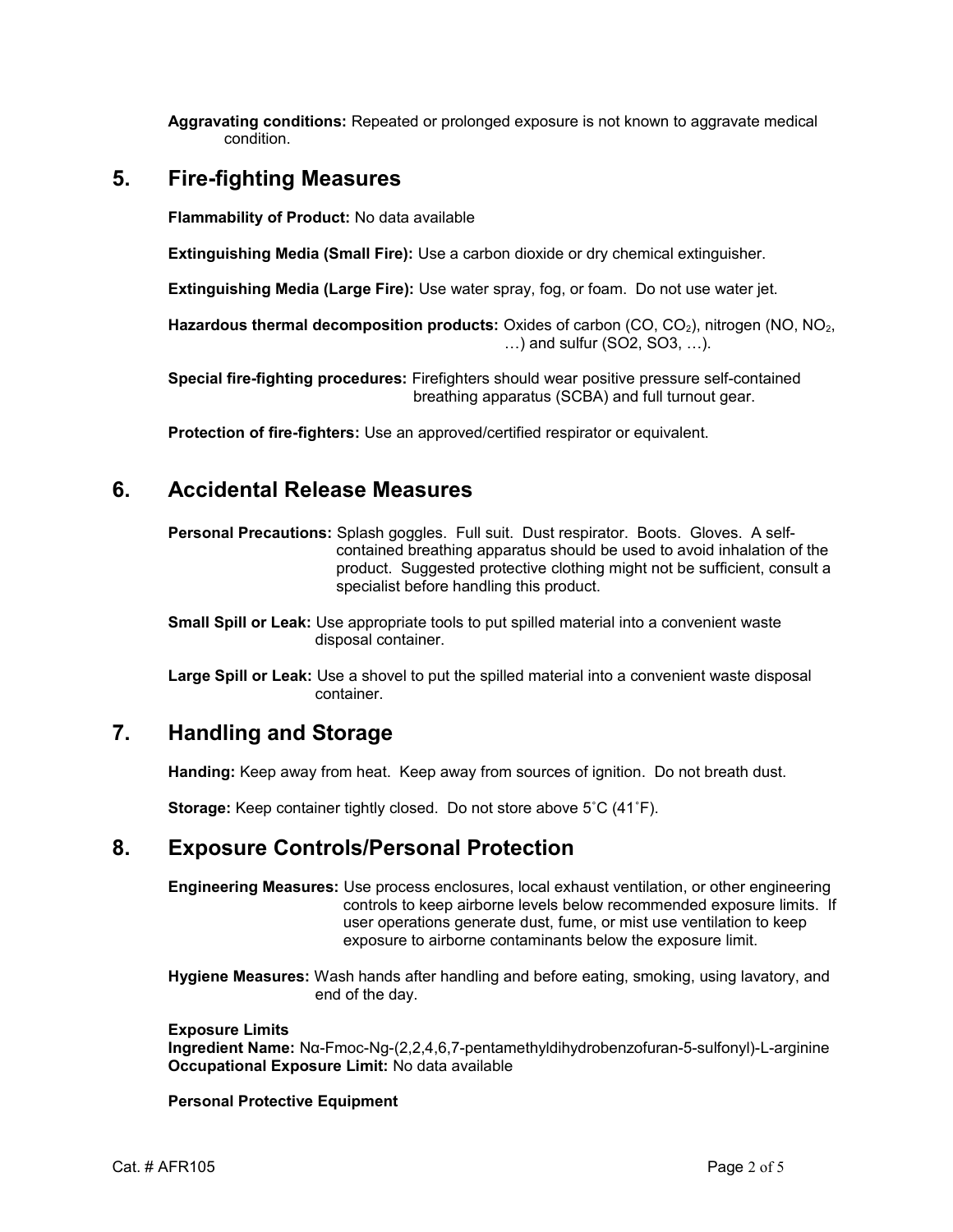**Aggravating conditions:** Repeated or prolonged exposure is not known to aggravate medical condition.

## **5. Fire-fighting Measures**

**Flammability of Product:** No data available

**Extinguishing Media (Small Fire):** Use a carbon dioxide or dry chemical extinguisher.

**Extinguishing Media (Large Fire):** Use water spray, fog, or foam. Do not use water jet.

Hazardous thermal decomposition products: Oxides of carbon (CO, CO<sub>2</sub>), nitrogen (NO, NO<sub>2</sub>, …) and sulfur (SO2, SO3, …).

**Special fire-fighting procedures:** Firefighters should wear positive pressure self-contained breathing apparatus (SCBA) and full turnout gear.

**Protection of fire-fighters:** Use an approved/certified respirator or equivalent.

## **6. Accidental Release Measures**

**Personal Precautions:** Splash goggles. Full suit. Dust respirator. Boots. Gloves. A selfcontained breathing apparatus should be used to avoid inhalation of the product. Suggested protective clothing might not be sufficient, consult a specialist before handling this product.

**Small Spill or Leak:** Use appropriate tools to put spilled material into a convenient waste disposal container.

**Large Spill or Leak:** Use a shovel to put the spilled material into a convenient waste disposal container.

# **7. Handling and Storage**

**Handing:** Keep away from heat. Keep away from sources of ignition. Do not breath dust.

**Storage:** Keep container tightly closed. Do not store above 5˚C (41˚F).

## **8. Exposure Controls/Personal Protection**

**Engineering Measures:** Use process enclosures, local exhaust ventilation, or other engineering controls to keep airborne levels below recommended exposure limits. If user operations generate dust, fume, or mist use ventilation to keep exposure to airborne contaminants below the exposure limit.

**Hygiene Measures:** Wash hands after handling and before eating, smoking, using lavatory, and end of the day.

### **Exposure Limits**

**Ingredient Name:** Nα-Fmoc-Ng-(2,2,4,6,7-pentamethyldihydrobenzofuran-5-sulfonyl)-L-arginine **Occupational Exposure Limit:** No data available

### **Personal Protective Equipment**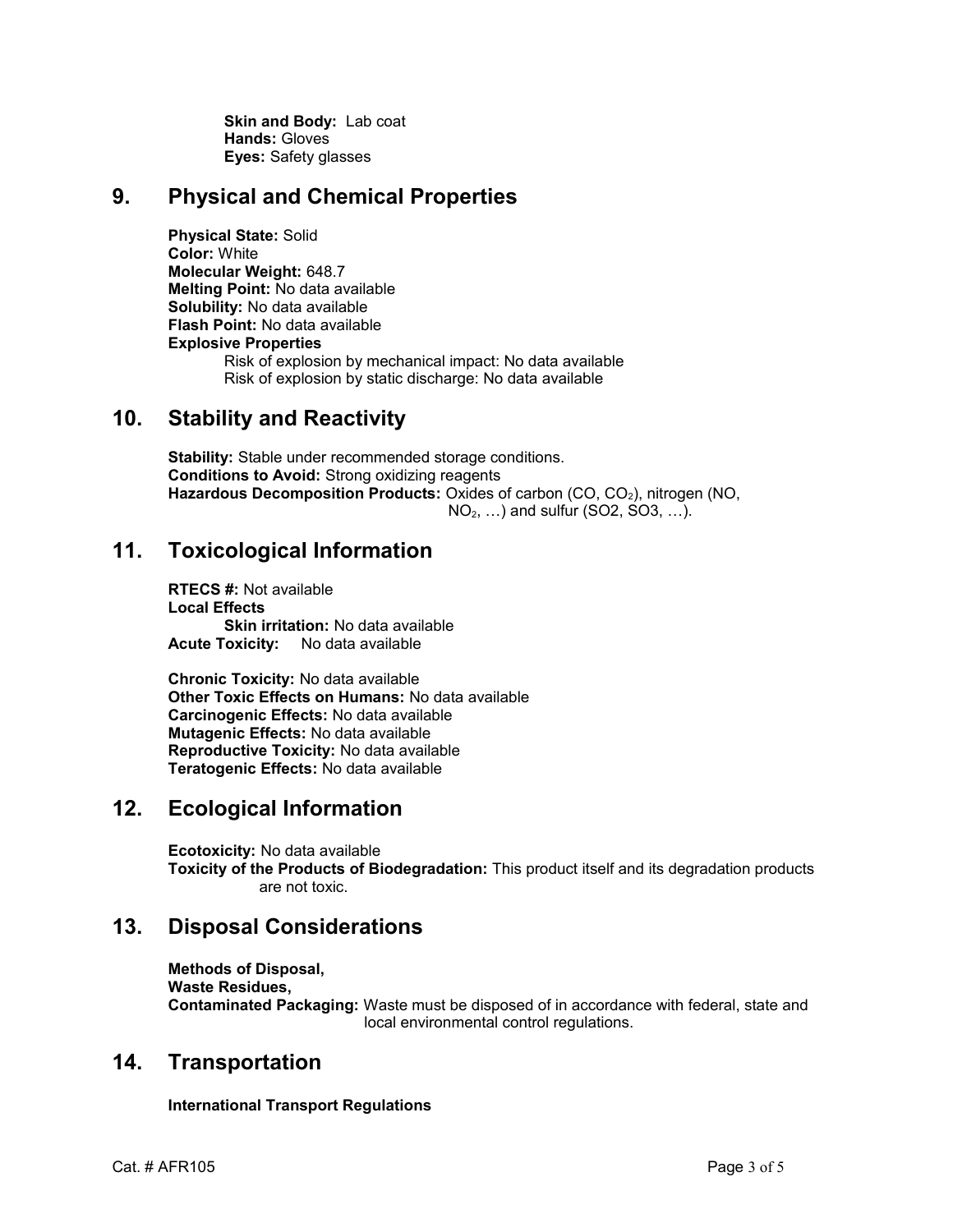**Skin and Body:** Lab coat **Hands:** Gloves **Eyes:** Safety glasses

## **9. Physical and Chemical Properties**

**Physical State:** Solid **Color:** White **Molecular Weight:** 648.7 **Melting Point:** No data available **Solubility:** No data available **Flash Point:** No data available **Explosive Properties** Risk of explosion by mechanical impact: No data available Risk of explosion by static discharge: No data available

## **10. Stability and Reactivity**

**Stability:** Stable under recommended storage conditions. **Conditions to Avoid:** Strong oxidizing reagents Hazardous Decomposition Products: Oxides of carbon (CO, CO<sub>2</sub>), nitrogen (NO, NO2, …) and sulfur (SO2, SO3, …).

# **11. Toxicological Information**

**RTECS #:** Not available **Local Effects Skin irritation:** No data available **Acute Toxicity:** No data available

**Chronic Toxicity:** No data available **Other Toxic Effects on Humans:** No data available **Carcinogenic Effects:** No data available **Mutagenic Effects:** No data available **Reproductive Toxicity:** No data available **Teratogenic Effects:** No data available

# **12. Ecological Information**

**Ecotoxicity:** No data available **Toxicity of the Products of Biodegradation:** This product itself and its degradation products are not toxic.

## **13. Disposal Considerations**

**Methods of Disposal, Waste Residues, Contaminated Packaging:** Waste must be disposed of in accordance with federal, state and local environmental control regulations.

## **14. Transportation**

**International Transport Regulations**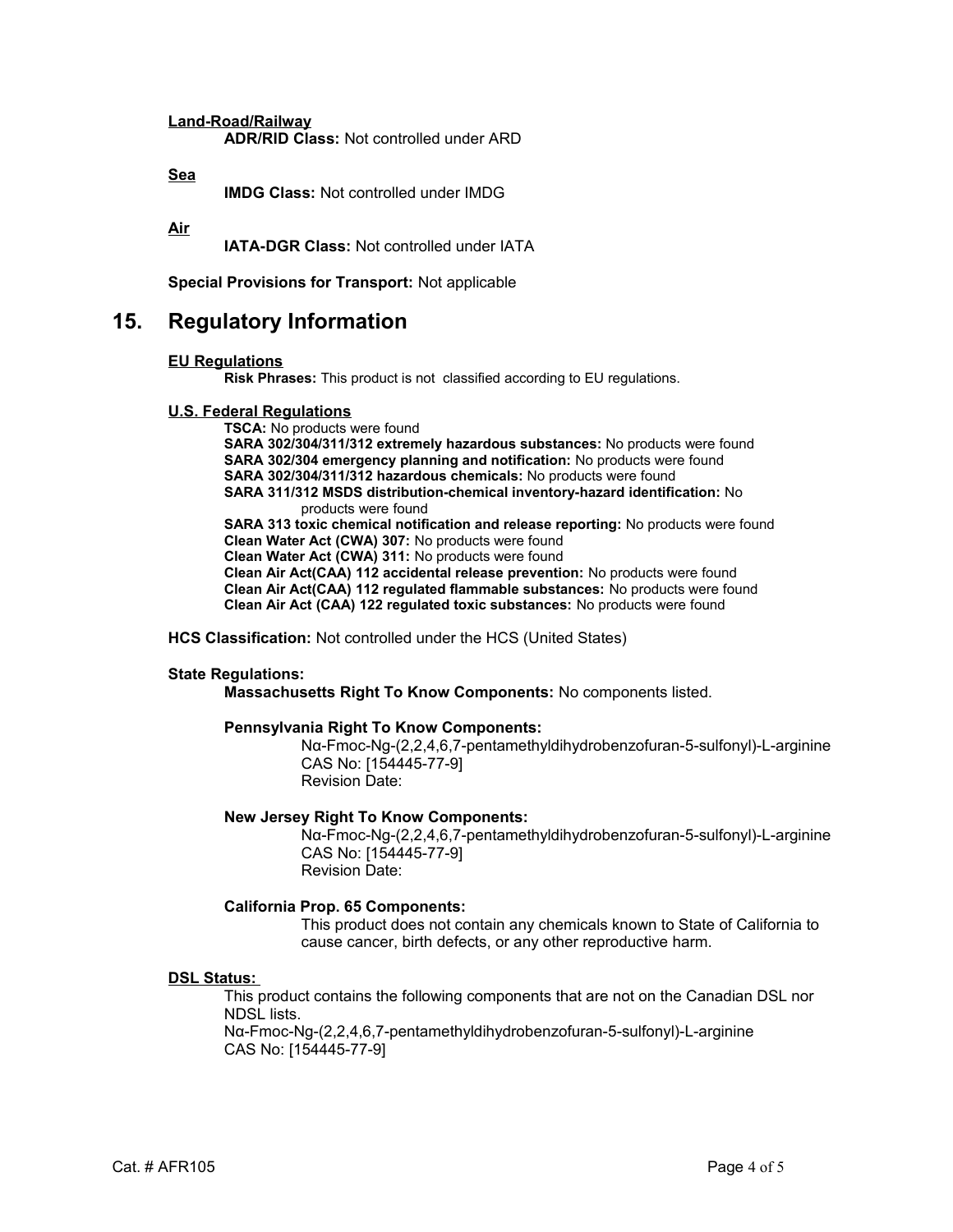**Land-Road/Railway**

**ADR/RID Class:** Not controlled under ARD

**Sea**

**IMDG Class:** Not controlled under IMDG

**Air**

**IATA-DGR Class:** Not controlled under IATA

**Special Provisions for Transport:** Not applicable

### **15. Regulatory Information**

#### **EU Regulations**

**Risk Phrases:** This product is not classified according to EU regulations.

#### **U.S. Federal Regulations**

**TSCA:** No products were found **SARA 302/304/311/312 extremely hazardous substances:** No products were found **SARA 302/304 emergency planning and notification:** No products were found **SARA 302/304/311/312 hazardous chemicals:** No products were found **SARA 311/312 MSDS distribution-chemical inventory-hazard identification:** No products were found **SARA 313 toxic chemical notification and release reporting:** No products were found **Clean Water Act (CWA) 307:** No products were found **Clean Water Act (CWA) 311:** No products were found **Clean Air Act(CAA) 112 accidental release prevention:** No products were found **Clean Air Act(CAA) 112 regulated flammable substances:** No products were found

**Clean Air Act (CAA) 122 regulated toxic substances:** No products were found

**HCS Classification:** Not controlled under the HCS (United States)

#### **State Regulations:**

**Massachusetts Right To Know Components:** No components listed.

#### **Pennsylvania Right To Know Components:**

Nα-Fmoc-Ng-(2,2,4,6,7-pentamethyldihydrobenzofuran-5-sulfonyl)-L-arginine CAS No: [154445-77-9] Revision Date:

#### **New Jersey Right To Know Components:**

Nα-Fmoc-Ng-(2,2,4,6,7-pentamethyldihydrobenzofuran-5-sulfonyl)-L-arginine CAS No: [154445-77-9] Revision Date:

#### **California Prop. 65 Components:**

This product does not contain any chemicals known to State of California to cause cancer, birth defects, or any other reproductive harm.

#### **DSL Status:**

This product contains the following components that are not on the Canadian DSL nor NDSL lists.

Nα-Fmoc-Ng-(2,2,4,6,7-pentamethyldihydrobenzofuran-5-sulfonyl)-L-arginine CAS No: [154445-77-9]